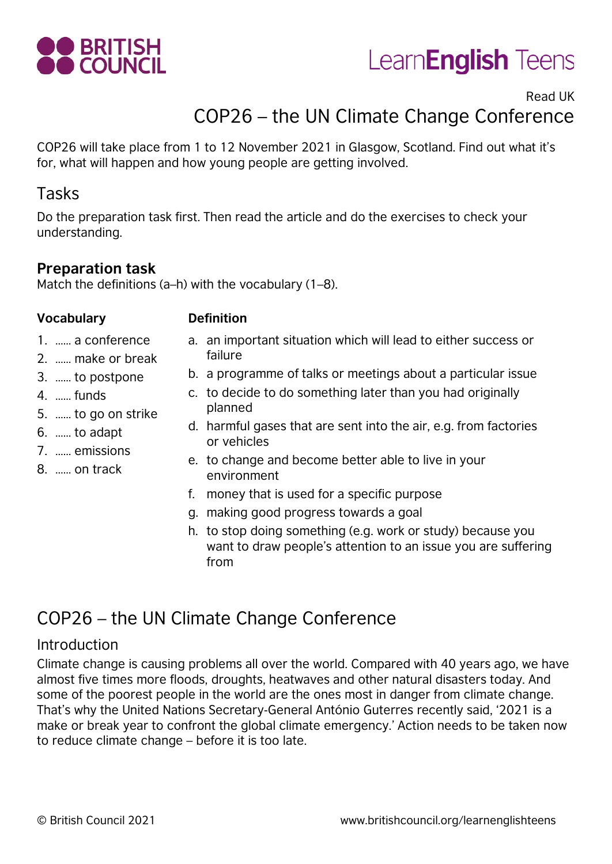



# Read UK COP26 – the UN Climate Change Conference

COP26 will take place from 1 to 12 November 2021 in Glasgow, Scotland. Find out what it's for, what will happen and how young people are getting involved.

# Tasks

Do the preparation task first. Then read the article and do the exercises to check your understanding.

### **Preparation task**

Match the definitions (a–h) with the vocabulary (1–8).

#### **Vocabulary Definition**

- 1. …… a conference
- 2. …… make or break
- 3. …… to postpone
- 4. …… funds
- 5. …… to go on strike
- 6. …… to adapt
- 7. …… emissions
- 8. …… on track
- a. an important situation which will lead to either success or failure
- b. a programme of talks or meetings about a particular issue
- c. to decide to do something later than you had originally planned
- d. harmful gases that are sent into the air, e.g. from factories or vehicles
- e. to change and become better able to live in your environment
- f. money that is used for a specific purpose
- g. making good progress towards a goal
- h. to stop doing something (e.g. work or study) because you want to draw people's attention to an issue you are suffering from

# COP26 – the UN Climate Change Conference

#### Introduction

Climate change is causing problems all over the world. Compared with 40 years ago, we have almost five times more floods, droughts, heatwaves and other natural disasters today. And some of the poorest people in the world are the ones most in danger from climate change. That's why the United Nations Secretary-General António Guterres recently said, '2021 is a make or break year to confront the global climate emergency.' Action needs to be taken now to reduce climate change – before it is too late.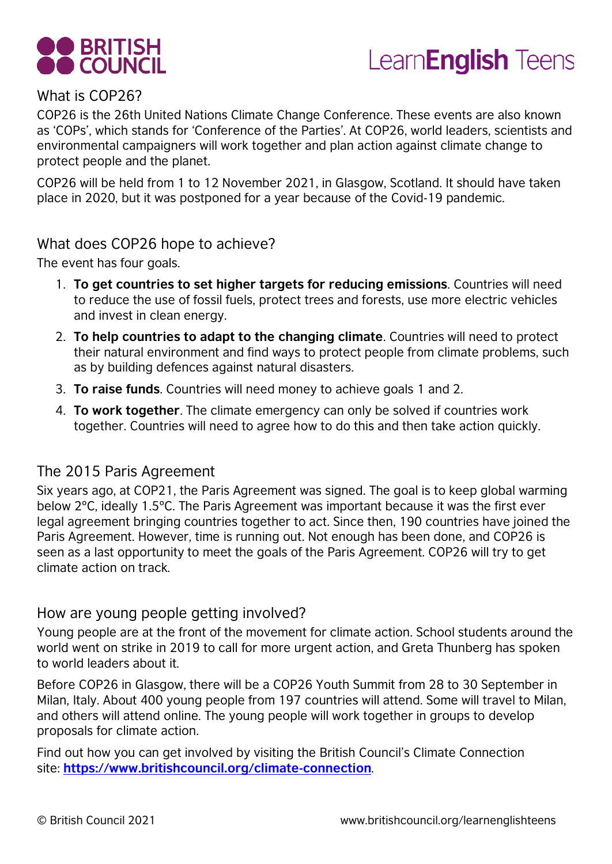



#### What is COP26?

COP26 is the 26th United Nations Climate Change Conference. These events are also known as 'COPs', which stands for 'Conference of the Parties'. At COP26, world leaders, scientists and environmental campaigners will work together and plan action against climate change to protect people and the planet.

COP26 will be held from 1 to 12 November 2021, in Glasgow, Scotland. It should have taken place in 2020, but it was postponed for a year because of the Covid-19 pandemic.

#### What does COP26 hope to achieve?

The event has four goals.

- 1. **To get countries to set higher targets for reducing emissions**. Countries will need to reduce the use of fossil fuels, protect trees and forests, use more electric vehicles and invest in clean energy.
- 2. **To help countries to adapt to the changing climate**. Countries will need to protect their natural environment and find ways to protect people from climate problems, such as by building defences against natural disasters.
- 3. **To raise funds**. Countries will need money to achieve goals 1 and 2.
- 4. **To work together**. The climate emergency can only be solved if countries work together. Countries will need to agree how to do this and then take action quickly.

#### The 2015 Paris Agreement

Six years ago, at COP21, the Paris Agreement was signed. The goal is to keep global warming below 2ºC, ideally 1.5ºC. The Paris Agreement was important because it was the first ever legal agreement bringing countries together to act. Since then, 190 countries have joined the Paris Agreement. However, time is running out. Not enough has been done, and COP26 is seen as a last opportunity to meet the goals of the Paris Agreement. COP26 will try to get climate action on track.

#### How are young people getting involved?

Young people are at the front of the movement for climate action. School students around the world went on strike in 2019 to call for more urgent action, and Greta Thunberg has spoken to world leaders about it.

Before COP26 in Glasgow, there will be a COP26 Youth Summit from 28 to 30 September in Milan, Italy. About 400 young people from 197 countries will attend. Some will travel to Milan, and others will attend online. The young people will work together in groups to develop proposals for climate action.

Find out how you can get involved by visiting the British Council's Climate Connection site: **<https://www.britishcouncil.org/climate-connection>**.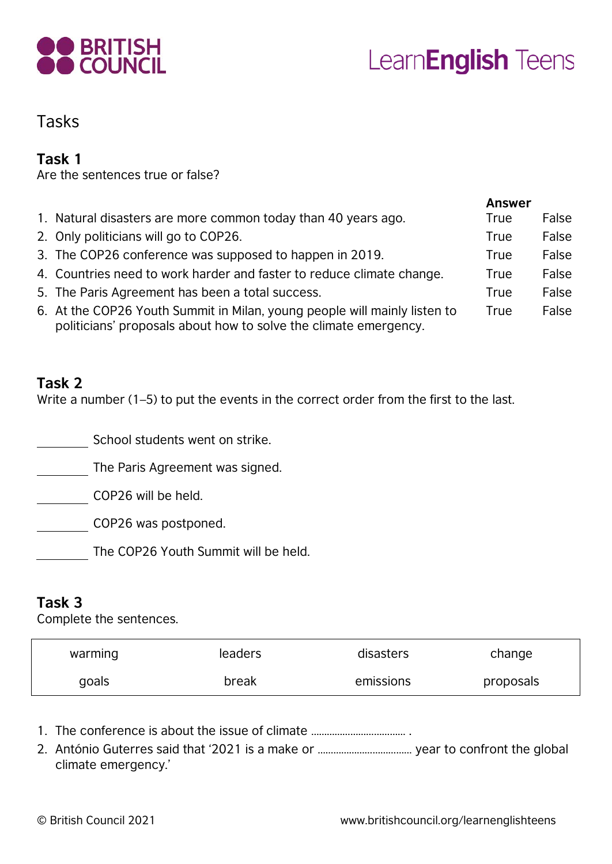

# Tasks

### **Task 1**

Are the sentences true or false?

|                                                                                                                                               | <b>Answer</b> |       |
|-----------------------------------------------------------------------------------------------------------------------------------------------|---------------|-------|
| 1. Natural disasters are more common today than 40 years ago.                                                                                 | True          | False |
| 2. Only politicians will go to COP26.                                                                                                         | <b>True</b>   | False |
| 3. The COP26 conference was supposed to happen in 2019.                                                                                       | True          | False |
| 4. Countries need to work harder and faster to reduce climate change.                                                                         | <b>True</b>   | False |
| 5. The Paris Agreement has been a total success.                                                                                              | <b>True</b>   | False |
| 6. At the COP26 Youth Summit in Milan, young people will mainly listen to<br>politicians' proposals about how to solve the climate emergency. | <b>True</b>   | False |

#### **Task 2**

Write a number (1–5) to put the events in the correct order from the first to the last.

School students went on strike.

The Paris Agreement was signed.

COP26 will be held.

COP26 was postponed.

The COP26 Youth Summit will be held.

## **Task 3**

Complete the sentences.

| warming | leaders | disasters | change    |
|---------|---------|-----------|-----------|
| goals   | break   | emissions | proposals |

- 1. The conference is about the issue of climate ……………………………… .
- 2. António Guterres said that '2021 is a make or ……………………………… year to confront the global climate emergency.'